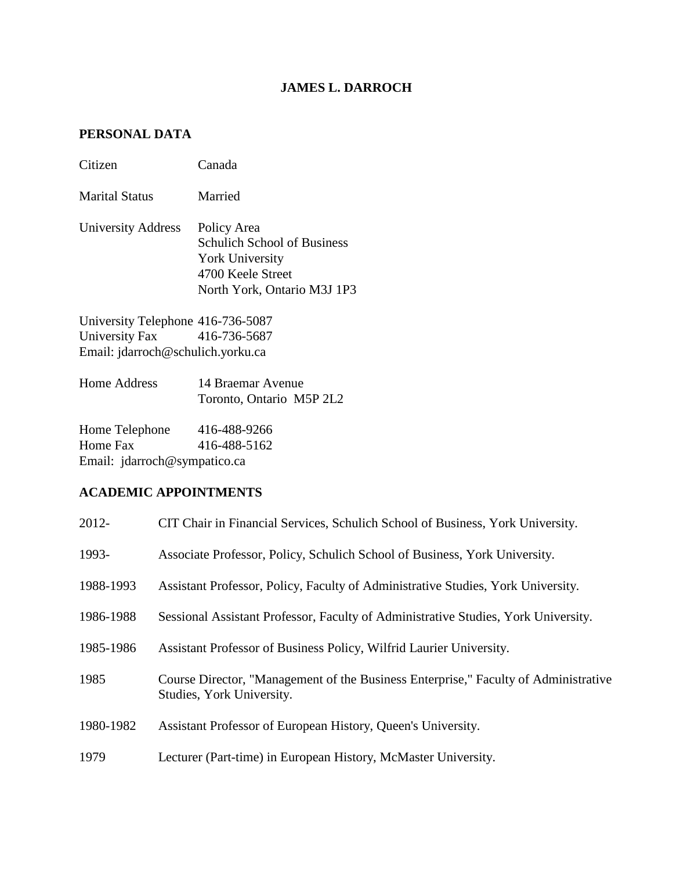## **JAMES L. DARROCH**

## **PERSONAL DATA**

| Citizen                                                                                               | Canada                                                                                                                          |
|-------------------------------------------------------------------------------------------------------|---------------------------------------------------------------------------------------------------------------------------------|
| Marital Status                                                                                        | Married                                                                                                                         |
| University Address                                                                                    | Policy Area<br><b>Schulich School of Business</b><br><b>York University</b><br>4700 Keele Street<br>North York, Ontario M3J 1P3 |
| University Telephone 416-736-5087<br>University Fax 416-736-5687<br>Email: jdarroch@schulich.yorku.ca |                                                                                                                                 |

| Home Address | 14 Braemar Avenue        |  |
|--------------|--------------------------|--|
|              | Toronto, Ontario M5P 2L2 |  |

Home Telephone 416-488-9266<br>Home Fax 416-488-5162 416-488-5162 Email: jdarroch@sympatico.ca

## **ACADEMIC APPOINTMENTS**

| 2012-     | CIT Chair in Financial Services, Schulich School of Business, York University.                                   |
|-----------|------------------------------------------------------------------------------------------------------------------|
| 1993-     | Associate Professor, Policy, Schulich School of Business, York University.                                       |
| 1988-1993 | Assistant Professor, Policy, Faculty of Administrative Studies, York University.                                 |
| 1986-1988 | Sessional Assistant Professor, Faculty of Administrative Studies, York University.                               |
| 1985-1986 | Assistant Professor of Business Policy, Wilfrid Laurier University.                                              |
| 1985      | Course Director, "Management of the Business Enterprise," Faculty of Administrative<br>Studies, York University. |
| 1980-1982 | Assistant Professor of European History, Queen's University.                                                     |
| 1979      | Lecturer (Part-time) in European History, McMaster University.                                                   |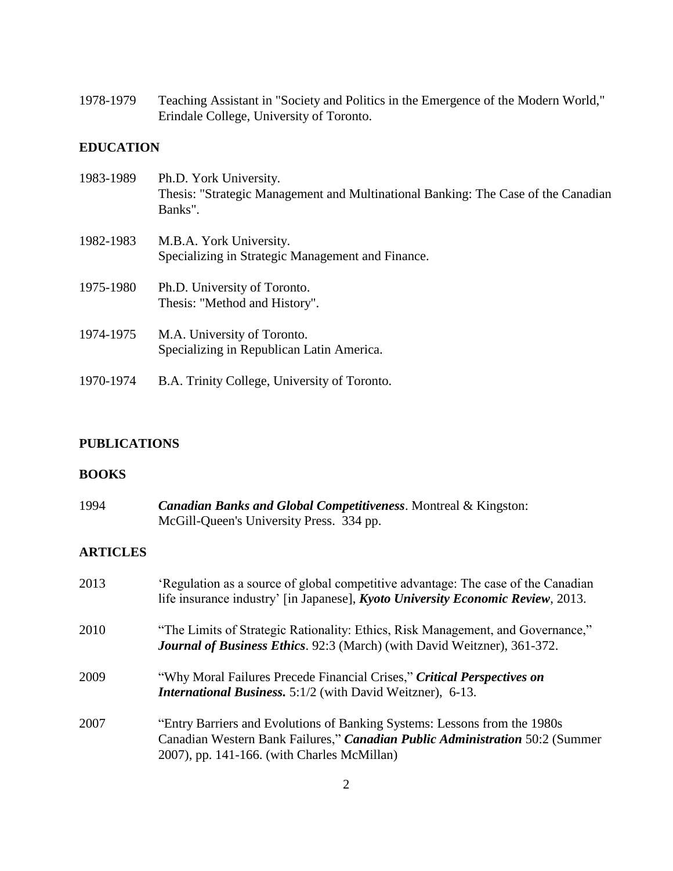1978-1979 Teaching Assistant in "Society and Politics in the Emergence of the Modern World," Erindale College, University of Toronto.

## **EDUCATION**

| 1983-1989 | Ph.D. York University.<br>Thesis: "Strategic Management and Multinational Banking: The Case of the Canadian<br>Banks". |
|-----------|------------------------------------------------------------------------------------------------------------------------|
| 1982-1983 | M.B.A. York University.<br>Specializing in Strategic Management and Finance.                                           |
| 1975-1980 | Ph.D. University of Toronto.<br>Thesis: "Method and History".                                                          |
| 1974-1975 | M.A. University of Toronto.<br>Specializing in Republican Latin America.                                               |
| 1970-1974 | B.A. Trinity College, University of Toronto.                                                                           |

## **PUBLICATIONS**

### **BOOKS**

| 1994            | <b>Canadian Banks and Global Competitiveness. Montreal &amp; Kingston:</b><br>McGill-Queen's University Press. 334 pp.                                                                                   |
|-----------------|----------------------------------------------------------------------------------------------------------------------------------------------------------------------------------------------------------|
| <b>ARTICLES</b> |                                                                                                                                                                                                          |
| 2013            | 'Regulation as a source of global competitive advantage: The case of the Canadian<br>life insurance industry' [in Japanese], <i>Kyoto University Economic Review</i> , 2013.                             |
| 2010            | "The Limits of Strategic Rationality: Ethics, Risk Management, and Governance,"<br><b>Journal of Business Ethics.</b> 92:3 (March) (with David Weitzner), 361-372.                                       |
| 2009            | "Why Moral Failures Precede Financial Crises," Critical Perspectives on<br><b>International Business.</b> 5:1/2 (with David Weitzner), 6-13.                                                             |
| 2007            | "Entry Barriers and Evolutions of Banking Systems: Lessons from the 1980s<br>Canadian Western Bank Failures," Canadian Public Administration 50:2 (Summer<br>2007), pp. 141-166. (with Charles McMillan) |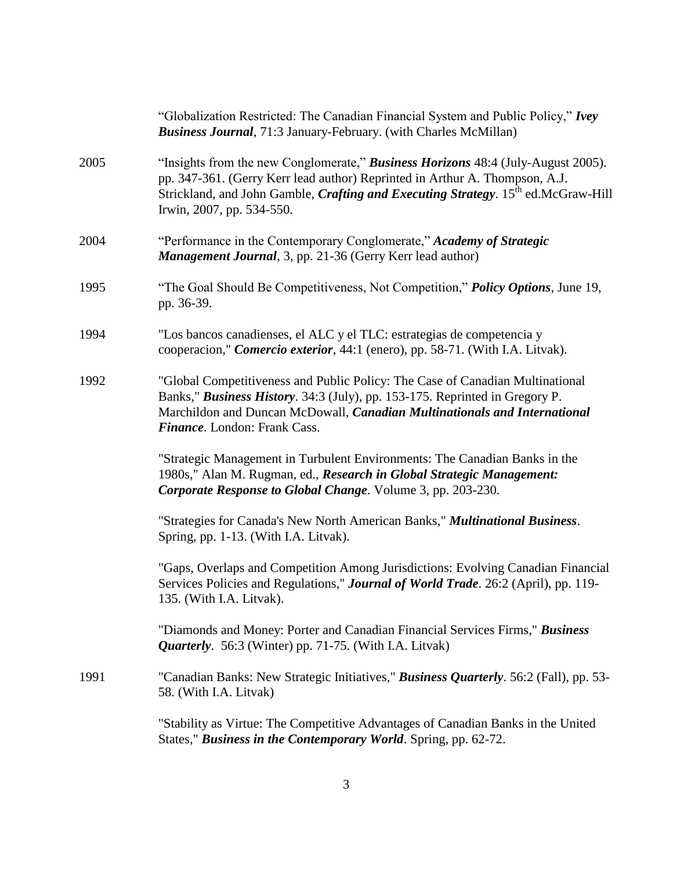|      | "Globalization Restricted: The Canadian Financial System and Public Policy," Ivey<br><b>Business Journal</b> , 71:3 January-February. (with Charles McMillan)                                                                                                                                         |
|------|-------------------------------------------------------------------------------------------------------------------------------------------------------------------------------------------------------------------------------------------------------------------------------------------------------|
| 2005 | "Insights from the new Conglomerate," Business Horizons 48:4 (July-August 2005).<br>pp. 347-361. (Gerry Kerr lead author) Reprinted in Arthur A. Thompson, A.J.<br>Strickland, and John Gamble, <i>Crafting and Executing Strategy</i> . 15 <sup>th</sup> ed.McGraw-Hill<br>Irwin, 2007, pp. 534-550. |
| 2004 | "Performance in the Contemporary Conglomerate," Academy of Strategic<br>Management Journal, 3, pp. 21-36 (Gerry Kerr lead author)                                                                                                                                                                     |
| 1995 | "The Goal Should Be Competitiveness, Not Competition," <i>Policy Options</i> , June 19,<br>pp. 36-39.                                                                                                                                                                                                 |
| 1994 | "Los bancos canadienses, el ALC y el TLC: estrategias de competencia y<br>cooperacion," Comercio exterior, 44:1 (enero), pp. 58-71. (With I.A. Litvak).                                                                                                                                               |
| 1992 | "Global Competitiveness and Public Policy: The Case of Canadian Multinational<br>Banks," Business History. 34:3 (July), pp. 153-175. Reprinted in Gregory P.<br>Marchildon and Duncan McDowall, Canadian Multinationals and International<br>Finance. London: Frank Cass.                             |
|      | "Strategic Management in Turbulent Environments: The Canadian Banks in the<br>1980s," Alan M. Rugman, ed., Research in Global Strategic Management:<br>Corporate Response to Global Change. Volume 3, pp. 203-230.                                                                                    |
|      | "Strategies for Canada's New North American Banks," Multinational Business.<br>Spring, pp. 1-13. (With I.A. Litvak).                                                                                                                                                                                  |
|      | "Gaps, Overlaps and Competition Among Jurisdictions: Evolving Canadian Financial<br>Services Policies and Regulations," Journal of World Trade. 26:2 (April), pp. 119-<br>135. (With I.A. Litvak).                                                                                                    |
|      | "Diamonds and Money: Porter and Canadian Financial Services Firms," Business<br><i>Quarterly.</i> 56:3 (Winter) pp. 71-75. (With I.A. Litvak)                                                                                                                                                         |
| 1991 | "Canadian Banks: New Strategic Initiatives," <i>Business Quarterly</i> . 56:2 (Fall), pp. 53-<br>58. (With I.A. Litvak)                                                                                                                                                                               |
|      | "Stability as Virtue: The Competitive Advantages of Canadian Banks in the United<br>States," Business in the Contemporary World. Spring, pp. 62-72.                                                                                                                                                   |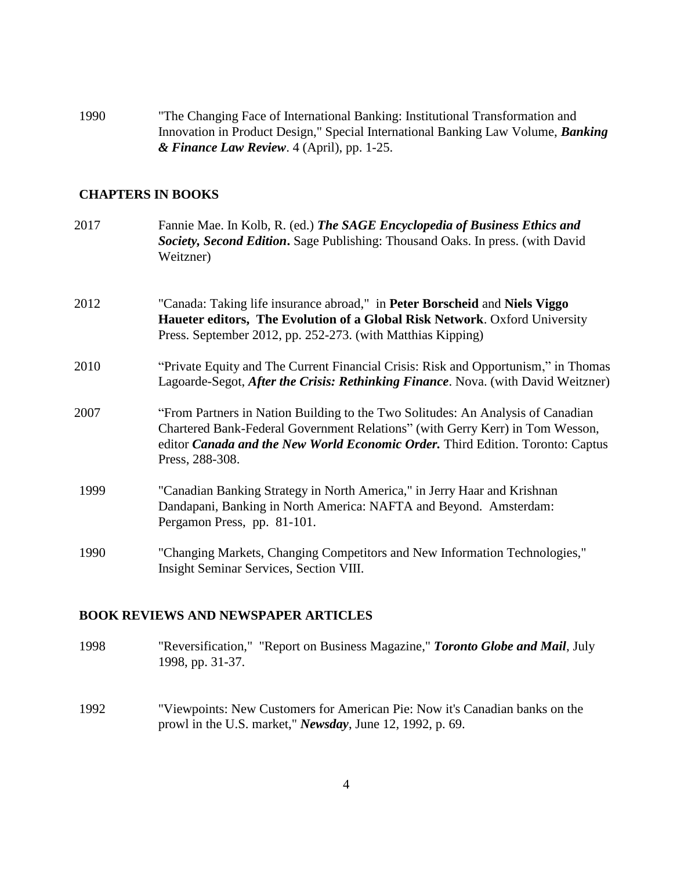1990 "The Changing Face of International Banking: Institutional Transformation and Innovation in Product Design," Special International Banking Law Volume, *Banking & Finance Law Review*. 4 (April), pp. 1-25.

## **CHAPTERS IN BOOKS**

| 2017 | Fannie Mae. In Kolb, R. (ed.) The SAGE Encyclopedia of Business Ethics and<br>Society, Second Edition. Sage Publishing: Thousand Oaks. In press. (with David<br>Weitzner)                                                                                                     |
|------|-------------------------------------------------------------------------------------------------------------------------------------------------------------------------------------------------------------------------------------------------------------------------------|
| 2012 | "Canada: Taking life insurance abroad," in Peter Borscheid and Niels Viggo<br><b>Haueter editors, The Evolution of a Global Risk Network.</b> Oxford University<br>Press. September 2012, pp. 252-273. (with Matthias Kipping)                                                |
| 2010 | "Private Equity and The Current Financial Crisis: Risk and Opportunism," in Thomas<br>Lagoarde-Segot, After the Crisis: Rethinking Finance. Nova. (with David Weitzner)                                                                                                       |
| 2007 | "From Partners in Nation Building to the Two Solitudes: An Analysis of Canadian<br>Chartered Bank-Federal Government Relations" (with Gerry Kerr) in Tom Wesson,<br>editor <i>Canada and the New World Economic Order</i> . Third Edition. Toronto: Captus<br>Press, 288-308. |
| 1999 | "Canadian Banking Strategy in North America," in Jerry Haar and Krishnan<br>Dandapani, Banking in North America: NAFTA and Beyond. Amsterdam:<br>Pergamon Press, pp. 81-101.                                                                                                  |
| 1990 | "Changing Markets, Changing Competitors and New Information Technologies,"<br>Insight Seminar Services, Section VIII.                                                                                                                                                         |

#### **BOOK REVIEWS AND NEWSPAPER ARTICLES**

- 1998 "Reversification," "Report on Business Magazine," *Toronto Globe and Mail*, July 1998, pp. 31-37.
- 1992 "Viewpoints: New Customers for American Pie: Now it's Canadian banks on the prowl in the U.S. market," *Newsday*, June 12, 1992, p. 69.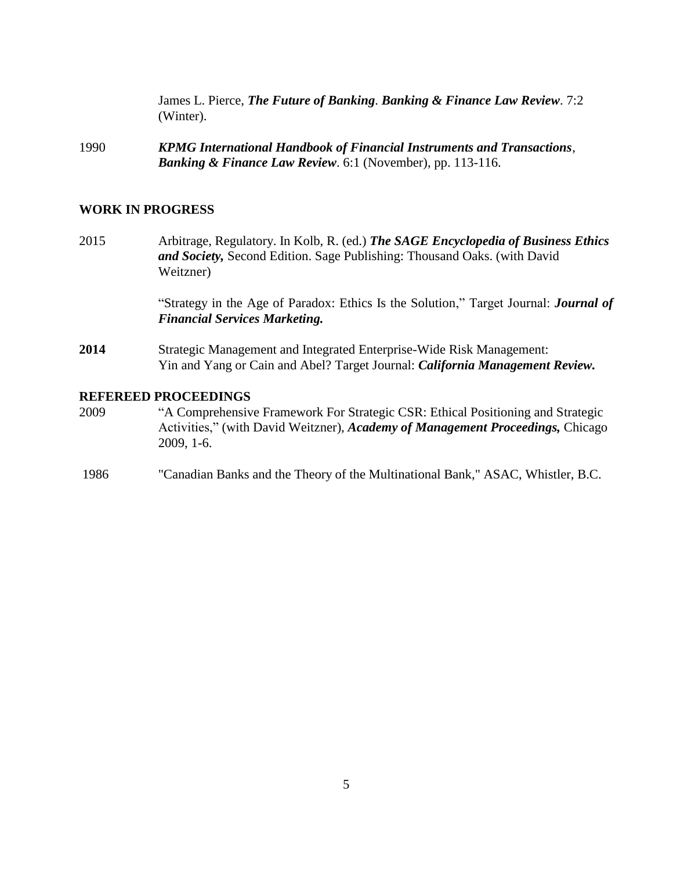James L. Pierce, *The Future of Banking*. *Banking & Finance Law Review*. 7:2 (Winter).

1990 *KPMG International Handbook of Financial Instruments and Transactions*, *Banking & Finance Law Review*. 6:1 (November), pp. 113-116.

#### **WORK IN PROGRESS**

2015 Arbitrage, Regulatory. In Kolb, R. (ed.) *The SAGE Encyclopedia of Business Ethics and Society,* Second Edition. Sage Publishing: Thousand Oaks. (with David Weitzner)

> "Strategy in the Age of Paradox: Ethics Is the Solution," Target Journal: *Journal of Financial Services Marketing.*

**2014** Strategic Management and Integrated Enterprise-Wide Risk Management: Yin and Yang or Cain and Abel? Target Journal: *California Management Review.*

#### **REFEREED PROCEEDINGS**

- 2009 "A Comprehensive Framework For Strategic CSR: Ethical Positioning and Strategic Activities," (with David Weitzner), *Academy of Management Proceedings,* Chicago 2009, 1-6.
- 1986 "Canadian Banks and the Theory of the Multinational Bank," ASAC, Whistler, B.C.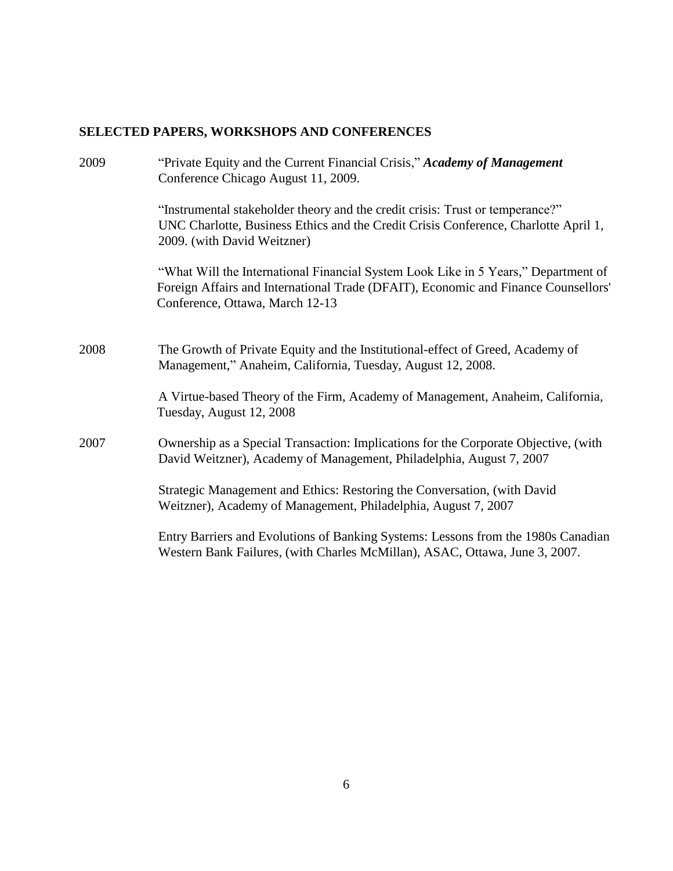# **SELECTED PAPERS, WORKSHOPS AND CONFERENCES**

| 2009 | "Private Equity and the Current Financial Crisis," Academy of Management<br>Conference Chicago August 11, 2009.                                                                                             |
|------|-------------------------------------------------------------------------------------------------------------------------------------------------------------------------------------------------------------|
|      | "Instrumental stakeholder theory and the credit crisis: Trust or temperance?"<br>UNC Charlotte, Business Ethics and the Credit Crisis Conference, Charlotte April 1,<br>2009. (with David Weitzner)         |
|      | "What Will the International Financial System Look Like in 5 Years," Department of<br>Foreign Affairs and International Trade (DFAIT), Economic and Finance Counsellors'<br>Conference, Ottawa, March 12-13 |
| 2008 | The Growth of Private Equity and the Institutional-effect of Greed, Academy of<br>Management," Anaheim, California, Tuesday, August 12, 2008.                                                               |
|      | A Virtue-based Theory of the Firm, Academy of Management, Anaheim, California,<br>Tuesday, August 12, 2008                                                                                                  |
| 2007 | Ownership as a Special Transaction: Implications for the Corporate Objective, (with<br>David Weitzner), Academy of Management, Philadelphia, August 7, 2007                                                 |
|      | Strategic Management and Ethics: Restoring the Conversation, (with David<br>Weitzner), Academy of Management, Philadelphia, August 7, 2007                                                                  |
|      | Entry Barriers and Evolutions of Banking Systems: Lessons from the 1980s Canadian<br>Western Bank Failures, (with Charles McMillan), ASAC, Ottawa, June 3, 2007.                                            |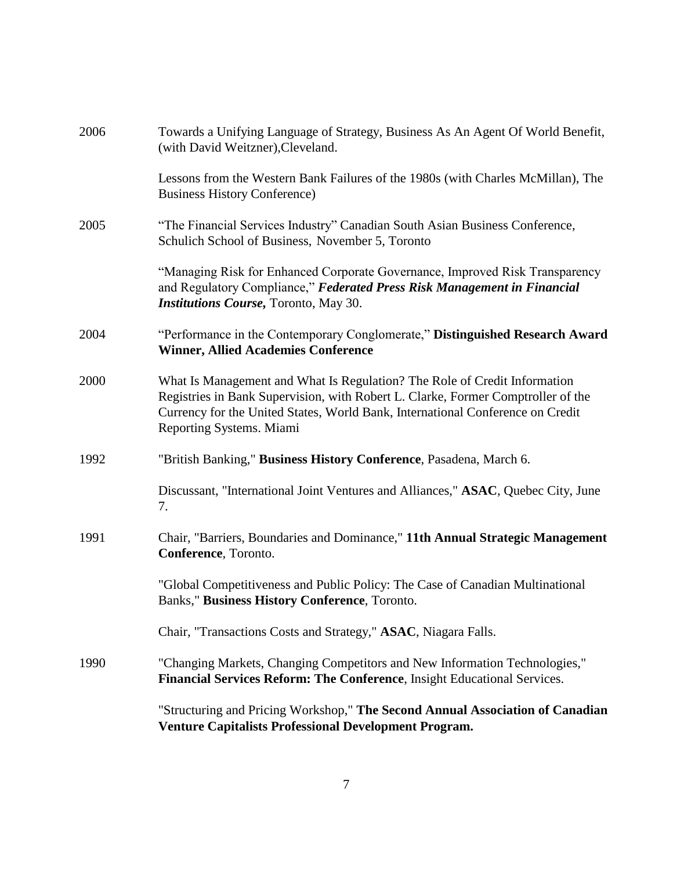| 2006 | Towards a Unifying Language of Strategy, Business As An Agent Of World Benefit,<br>(with David Weitzner), Cleveland.                                                                                                                                                        |
|------|-----------------------------------------------------------------------------------------------------------------------------------------------------------------------------------------------------------------------------------------------------------------------------|
|      | Lessons from the Western Bank Failures of the 1980s (with Charles McMillan), The<br><b>Business History Conference)</b>                                                                                                                                                     |
| 2005 | "The Financial Services Industry" Canadian South Asian Business Conference,<br>Schulich School of Business, November 5, Toronto                                                                                                                                             |
|      | "Managing Risk for Enhanced Corporate Governance, Improved Risk Transparency<br>and Regulatory Compliance," Federated Press Risk Management in Financial<br><b>Institutions Course, Toronto, May 30.</b>                                                                    |
| 2004 | "Performance in the Contemporary Conglomerate," Distinguished Research Award<br><b>Winner, Allied Academies Conference</b>                                                                                                                                                  |
| 2000 | What Is Management and What Is Regulation? The Role of Credit Information<br>Registries in Bank Supervision, with Robert L. Clarke, Former Comptroller of the<br>Currency for the United States, World Bank, International Conference on Credit<br>Reporting Systems. Miami |
| 1992 | "British Banking," Business History Conference, Pasadena, March 6.                                                                                                                                                                                                          |
|      | Discussant, "International Joint Ventures and Alliances," ASAC, Quebec City, June<br>7.                                                                                                                                                                                     |
| 1991 | Chair, "Barriers, Boundaries and Dominance," 11th Annual Strategic Management<br>Conference, Toronto.                                                                                                                                                                       |
|      | "Global Competitiveness and Public Policy: The Case of Canadian Multinational<br>Banks," Business History Conference, Toronto.                                                                                                                                              |
|      | Chair, "Transactions Costs and Strategy," ASAC, Niagara Falls.                                                                                                                                                                                                              |
| 1990 | "Changing Markets, Changing Competitors and New Information Technologies,"<br>Financial Services Reform: The Conference, Insight Educational Services.                                                                                                                      |
|      | "Structuring and Pricing Workshop," The Second Annual Association of Canadian<br><b>Venture Capitalists Professional Development Program.</b>                                                                                                                               |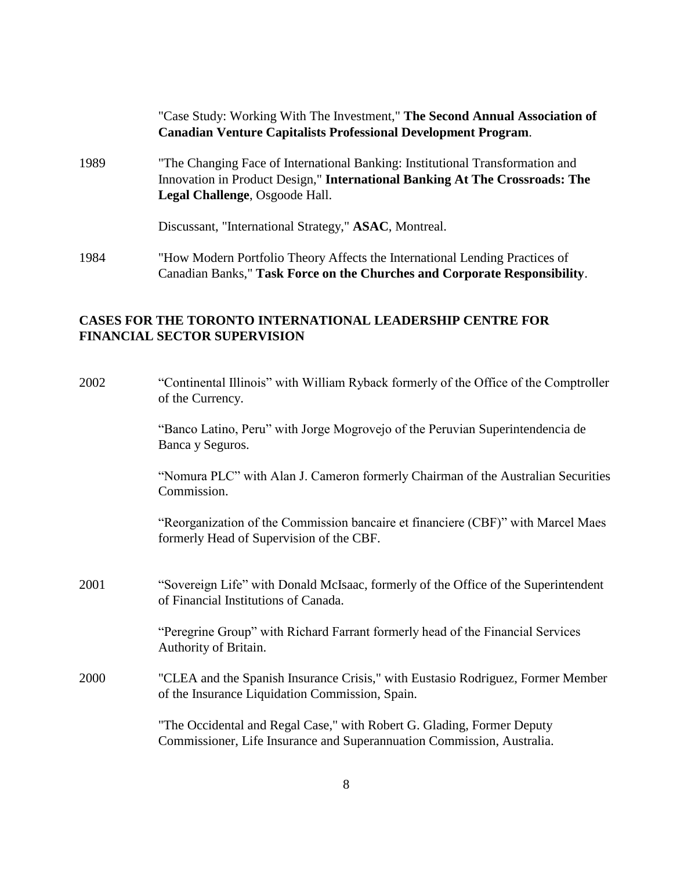|      | "Case Study: Working With The Investment," The Second Annual Association of<br><b>Canadian Venture Capitalists Professional Development Program.</b>                                           |
|------|------------------------------------------------------------------------------------------------------------------------------------------------------------------------------------------------|
| 1989 | "The Changing Face of International Banking: Institutional Transformation and<br>Innovation in Product Design," International Banking At The Crossroads: The<br>Legal Challenge, Osgoode Hall. |
|      | Discussant, "International Strategy," ASAC, Montreal.                                                                                                                                          |
| 1984 | "How Modern Portfolio Theory Affects the International Lending Practices of<br>Canadian Banks," Task Force on the Churches and Corporate Responsibility.                                       |

## **CASES FOR THE TORONTO INTERNATIONAL LEADERSHIP CENTRE FOR FINANCIAL SECTOR SUPERVISION**

| 2002 | "Continental Illinois" with William Ryback formerly of the Office of the Comptroller<br>of the Currency.                                         |
|------|--------------------------------------------------------------------------------------------------------------------------------------------------|
|      | "Banco Latino, Peru" with Jorge Mogrovejo of the Peruvian Superintendencia de<br>Banca y Seguros.                                                |
|      | "Nomura PLC" with Alan J. Cameron formerly Chairman of the Australian Securities<br>Commission.                                                  |
|      | "Reorganization of the Commission bancaire et financiere (CBF)" with Marcel Maes<br>formerly Head of Supervision of the CBF.                     |
| 2001 | "Sovereign Life" with Donald McIsaac, formerly of the Office of the Superintendent<br>of Financial Institutions of Canada.                       |
|      | "Peregrine Group" with Richard Farrant formerly head of the Financial Services<br>Authority of Britain.                                          |
| 2000 | "CLEA and the Spanish Insurance Crisis," with Eustasio Rodriguez, Former Member<br>of the Insurance Liquidation Commission, Spain.               |
|      | "The Occidental and Regal Case," with Robert G. Glading, Former Deputy<br>Commissioner, Life Insurance and Superannuation Commission, Australia. |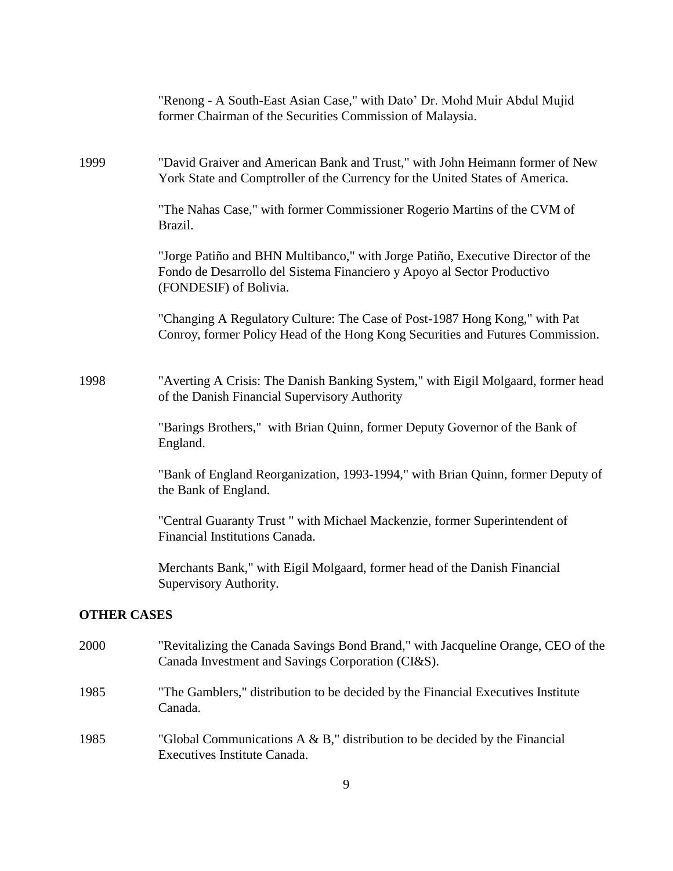|                    | "Renong - A South-East Asian Case," with Dato' Dr. Mohd Muir Abdul Mujid<br>former Chairman of the Securities Commission of Malaysia.                                                |
|--------------------|--------------------------------------------------------------------------------------------------------------------------------------------------------------------------------------|
| 1999               | "David Graiver and American Bank and Trust," with John Heimann former of New<br>York State and Comptroller of the Currency for the United States of America.                         |
|                    | "The Nahas Case," with former Commissioner Rogerio Martins of the CVM of<br>Brazil.                                                                                                  |
|                    | "Jorge Patiño and BHN Multibanco," with Jorge Patiño, Executive Director of the<br>Fondo de Desarrollo del Sistema Financiero y Apoyo al Sector Productivo<br>(FONDESIF) of Bolivia. |
|                    | "Changing A Regulatory Culture: The Case of Post-1987 Hong Kong," with Pat<br>Conroy, former Policy Head of the Hong Kong Securities and Futures Commission.                         |
| 1998               | "Averting A Crisis: The Danish Banking System," with Eigil Molgaard, former head<br>of the Danish Financial Supervisory Authority                                                    |
|                    | "Barings Brothers," with Brian Quinn, former Deputy Governor of the Bank of<br>England.                                                                                              |
|                    | "Bank of England Reorganization, 1993-1994," with Brian Quinn, former Deputy of<br>the Bank of England.                                                                              |
|                    | "Central Guaranty Trust " with Michael Mackenzie, former Superintendent of<br>Financial Institutions Canada.                                                                         |
|                    | Merchants Bank," with Eigil Molgaard, former head of the Danish Financial<br>Supervisory Authority.                                                                                  |
| <b>OTHER CASES</b> |                                                                                                                                                                                      |
| 2000               | "Revitalizing the Canada Savings Bond Brand," with Jacqueline Orange, CEO of the<br>Canada Investment and Savings Corporation (CI&S).                                                |
| 1985               | "The Gamblers," distribution to be decided by the Financial Executives Institute<br>Canada.                                                                                          |

1985 "Global Communications A & B," distribution to be decided by the Financial Executives Institute Canada.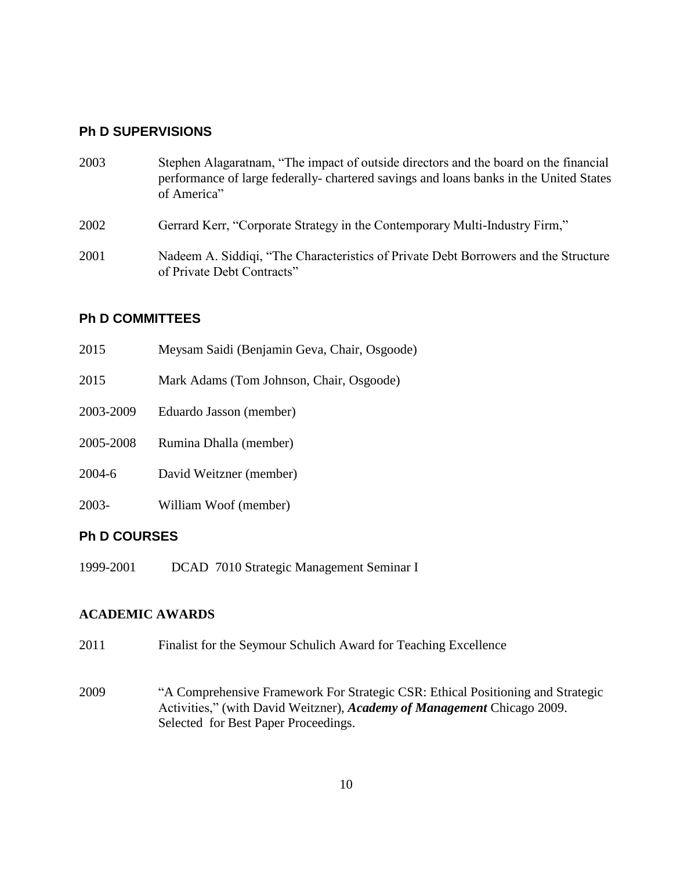## **Ph D SUPERVISIONS**

| 2003 | Stephen Alagaratnam, "The impact of outside directors and the board on the financial<br>performance of large federally-chartered savings and loans banks in the United States<br>of America" |
|------|----------------------------------------------------------------------------------------------------------------------------------------------------------------------------------------------|
| 2002 | Gerrard Kerr, "Corporate Strategy in the Contemporary Multi-Industry Firm,"                                                                                                                  |
| 2001 | Nadeem A. Siddigi, "The Characteristics of Private Debt Borrowers and the Structure<br>of Private Debt Contracts"                                                                            |

## **Ph D COMMITTEES**

| 2015      | Meysam Saidi (Benjamin Geva, Chair, Osgoode) |
|-----------|----------------------------------------------|
| 2015      | Mark Adams (Tom Johnson, Chair, Osgoode)     |
| 2003-2009 | Eduardo Jasson (member)                      |
| 2005-2008 | Rumina Dhalla (member)                       |
| 2004-6    | David Weitzner (member)                      |
| 2003-     | William Woof (member)                        |
|           |                                              |

## **Ph D COURSES**

1999-2001 DCAD 7010 Strategic Management Seminar I

## **ACADEMIC AWARDS**

- 2011 Finalist for the Seymour Schulich Award for Teaching Excellence
- 2009 "A Comprehensive Framework For Strategic CSR: Ethical Positioning and Strategic Activities," (with David Weitzner), *Academy of Management* Chicago 2009. Selected for Best Paper Proceedings.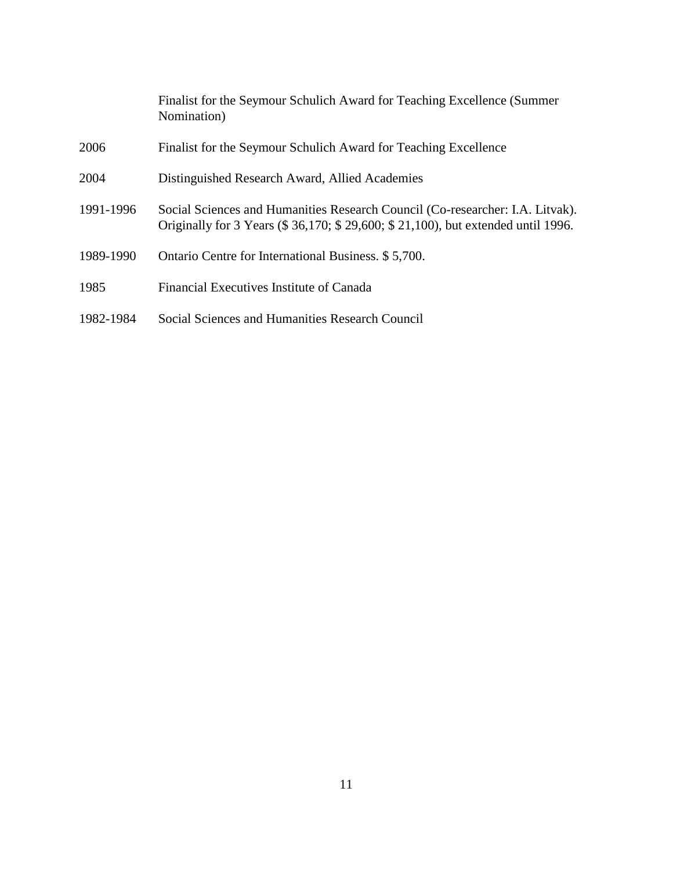|           | Finalist for the Seymour Schulich Award for Teaching Excellence (Summer<br>Nomination)                                                                              |
|-----------|---------------------------------------------------------------------------------------------------------------------------------------------------------------------|
| 2006      | Finalist for the Seymour Schulich Award for Teaching Excellence                                                                                                     |
| 2004      | Distinguished Research Award, Allied Academies                                                                                                                      |
| 1991-1996 | Social Sciences and Humanities Research Council (Co-researcher: I.A. Litvak).<br>Originally for 3 Years (\$ 36,170; \$ 29,600; \$ 21,100), but extended until 1996. |
| 1989-1990 | Ontario Centre for International Business. \$5,700.                                                                                                                 |
| 1985      | Financial Executives Institute of Canada                                                                                                                            |
| 1982-1984 | Social Sciences and Humanities Research Council                                                                                                                     |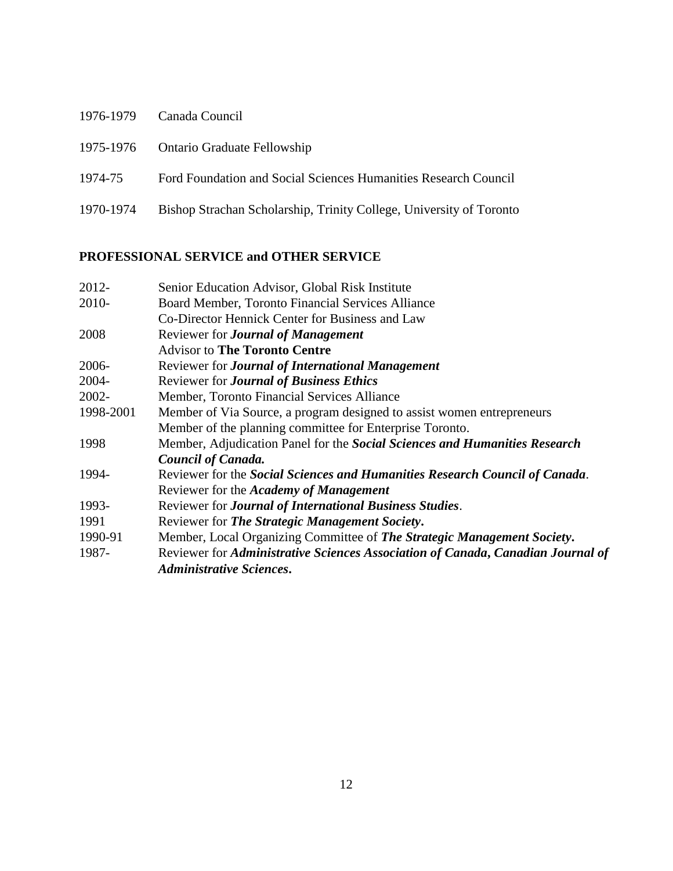|           | 1976-1979 Canada Council                                            |
|-----------|---------------------------------------------------------------------|
|           | 1975-1976 Ontario Graduate Fellowship                               |
| 1974-75   | Ford Foundation and Social Sciences Humanities Research Council     |
| 1970-1974 | Bishop Strachan Scholarship, Trinity College, University of Toronto |

## **PROFESSIONAL SERVICE and OTHER SERVICE**

| 2012-     | Senior Education Advisor, Global Risk Institute                                 |
|-----------|---------------------------------------------------------------------------------|
| 2010-     | Board Member, Toronto Financial Services Alliance                               |
|           | Co-Director Hennick Center for Business and Law                                 |
| 2008      | Reviewer for <b>Journal of Management</b>                                       |
|           | <b>Advisor to The Toronto Centre</b>                                            |
| 2006-     | Reviewer for <b>Journal of International Management</b>                         |
| 2004-     | Reviewer for Journal of Business Ethics                                         |
| 2002-     | Member, Toronto Financial Services Alliance                                     |
| 1998-2001 | Member of Via Source, a program designed to assist women entrepreneurs          |
|           | Member of the planning committee for Enterprise Toronto.                        |
| 1998      | Member, Adjudication Panel for the Social Sciences and Humanities Research      |
|           | <b>Council of Canada.</b>                                                       |
| 1994-     | Reviewer for the Social Sciences and Humanities Research Council of Canada.     |
|           | Reviewer for the <i>Academy of Management</i>                                   |
| 1993-     | Reviewer for Journal of International Business Studies.                         |
| 1991      | Reviewer for The Strategic Management Society.                                  |
| 1990-91   | Member, Local Organizing Committee of The Strategic Management Society.         |
| 1987-     | Reviewer for Administrative Sciences Association of Canada, Canadian Journal of |
|           | <b>Administrative Sciences.</b>                                                 |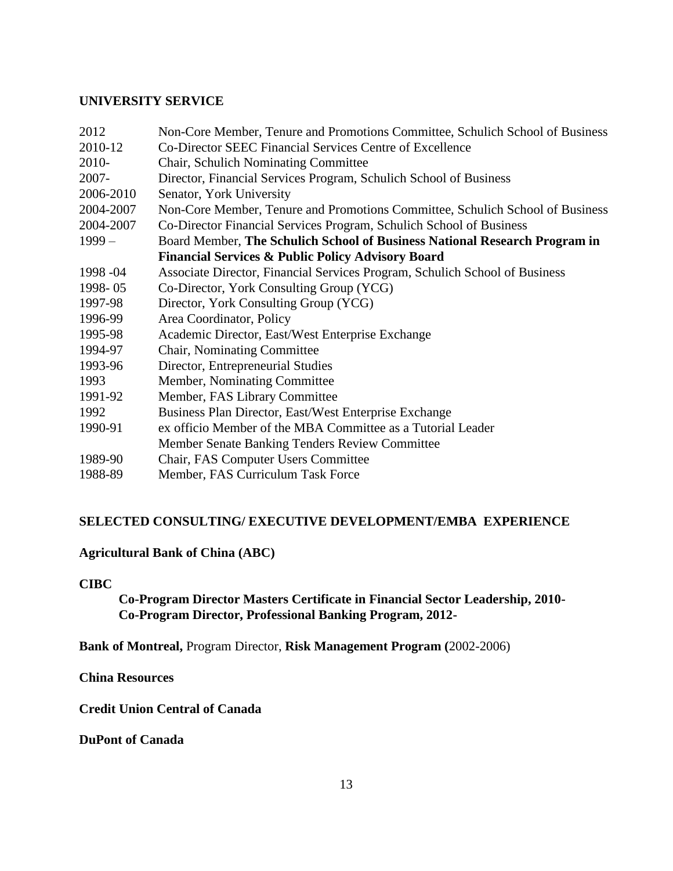### **UNIVERSITY SERVICE**

| Non-Core Member, Tenure and Promotions Committee, Schulich School of Business |
|-------------------------------------------------------------------------------|
| Co-Director SEEC Financial Services Centre of Excellence                      |
| Chair, Schulich Nominating Committee                                          |
| Director, Financial Services Program, Schulich School of Business             |
| Senator, York University                                                      |
| Non-Core Member, Tenure and Promotions Committee, Schulich School of Business |
| Co-Director Financial Services Program, Schulich School of Business           |
| Board Member, The Schulich School of Business National Research Program in    |
| <b>Financial Services &amp; Public Policy Advisory Board</b>                  |
| Associate Director, Financial Services Program, Schulich School of Business   |
| Co-Director, York Consulting Group (YCG)                                      |
| Director, York Consulting Group (YCG)                                         |
| Area Coordinator, Policy                                                      |
| Academic Director, East/West Enterprise Exchange                              |
| Chair, Nominating Committee                                                   |
| Director, Entrepreneurial Studies                                             |
| Member, Nominating Committee                                                  |
| Member, FAS Library Committee                                                 |
| Business Plan Director, East/West Enterprise Exchange                         |
| ex officio Member of the MBA Committee as a Tutorial Leader                   |
| Member Senate Banking Tenders Review Committee                                |
| Chair, FAS Computer Users Committee                                           |
| Member, FAS Curriculum Task Force                                             |
|                                                                               |

### **SELECTED CONSULTING/ EXECUTIVE DEVELOPMENT/EMBA EXPERIENCE**

## **Agricultural Bank of China (ABC)**

### **CIBC**

**Co-Program Director Masters Certificate in Financial Sector Leadership, 2010- Co-Program Director, Professional Banking Program, 2012-**

**Bank of Montreal,** Program Director, **Risk Management Program (**2002-2006)

**China Resources**

**Credit Union Central of Canada**

**DuPont of Canada**